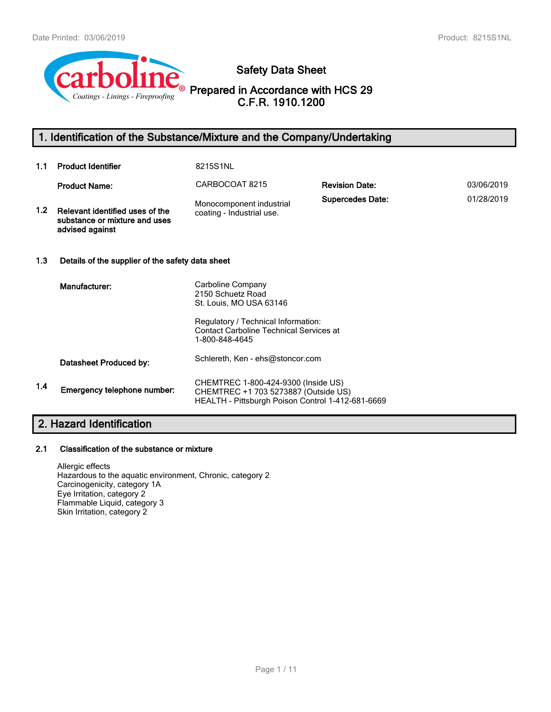

# **Safety Data Sheet**

**Prepared in Accordance with HCS 29 C.F.R. 1910.1200**

# **1. Identification of the Substance/Mixture and the Company/Undertaking**

| 1.1              | <b>Product Identifier</b>                                                           | 8215S1NL                                                                                                                         |                         |            |
|------------------|-------------------------------------------------------------------------------------|----------------------------------------------------------------------------------------------------------------------------------|-------------------------|------------|
|                  | <b>Product Name:</b>                                                                | CARBOCOAT 8215                                                                                                                   | <b>Revision Date:</b>   | 03/06/2019 |
| 1.2 <sub>1</sub> | Relevant identified uses of the<br>substance or mixture and uses<br>advised against | Monocomponent industrial<br>coating - Industrial use.                                                                            | <b>Supercedes Date:</b> | 01/28/2019 |
| 1.3              | Details of the supplier of the safety data sheet                                    |                                                                                                                                  |                         |            |
|                  | Manufacturer:                                                                       | Carboline Company<br>2150 Schuetz Road<br>St. Louis, MO USA 63146                                                                |                         |            |
|                  |                                                                                     | Regulatory / Technical Information:<br><b>Contact Carboline Technical Services at</b><br>1-800-848-4645                          |                         |            |
|                  | Datasheet Produced by:                                                              | Schlereth, Ken - ehs@stoncor.com                                                                                                 |                         |            |
| 1.4              | Emergency telephone number:                                                         | CHEMTREC 1-800-424-9300 (Inside US)<br>CHEMTREC +1 703 5273887 (Outside US)<br>HEALTH - Pittsburgh Poison Control 1-412-681-6669 |                         |            |

# **2. Hazard Identification**

## **2.1 Classification of the substance or mixture**

Allergic effects Hazardous to the aquatic environment, Chronic, category 2 Carcinogenicity, category 1A Eye Irritation, category 2 Flammable Liquid, category 3 Skin Irritation, category 2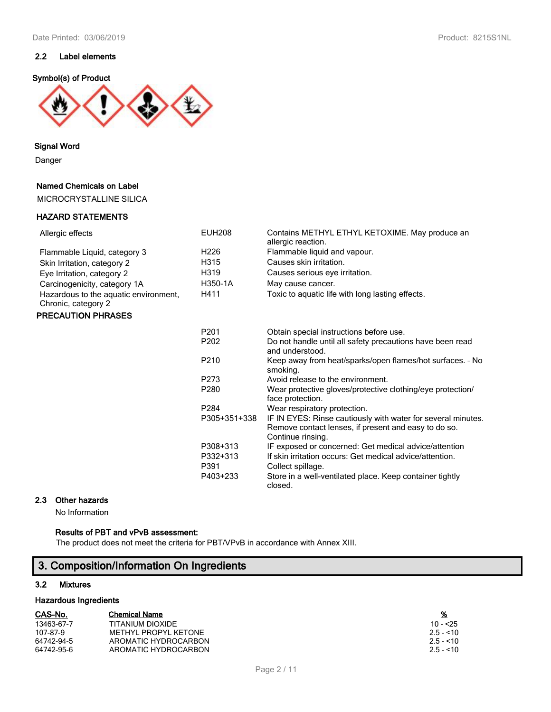## **2.2 Label elements**

#### **Symbol(s) of Product**



**Signal Word**

Danger

#### **Named Chemicals on Label**

MICROCRYSTALLINE SILICA

#### **HAZARD STATEMENTS**

| Allergic effects                                             | <b>EUH208</b>    | Contains METHYL ETHYL KETOXIME. May produce an<br>allergic reaction.                                                                      |
|--------------------------------------------------------------|------------------|-------------------------------------------------------------------------------------------------------------------------------------------|
| Flammable Liquid, category 3                                 | H226             | Flammable liquid and vapour.                                                                                                              |
| Skin Irritation, category 2                                  | H315             | Causes skin irritation.                                                                                                                   |
| Eye Irritation, category 2                                   | H319             | Causes serious eye irritation.                                                                                                            |
| Carcinogenicity, category 1A                                 | H350-1A          | May cause cancer.                                                                                                                         |
| Hazardous to the aquatic environment,<br>Chronic, category 2 | H411             | Toxic to aquatic life with long lasting effects.                                                                                          |
| <b>PRECAUTION PHRASES</b>                                    |                  |                                                                                                                                           |
|                                                              | P <sub>201</sub> | Obtain special instructions before use.                                                                                                   |
|                                                              | P <sub>202</sub> | Do not handle until all safety precautions have been read<br>and understood.                                                              |
|                                                              | P210             | Keep away from heat/sparks/open flames/hot surfaces. - No<br>smoking.                                                                     |
|                                                              | P273             | Avoid release to the environment.                                                                                                         |
|                                                              | P280             | Wear protective gloves/protective clothing/eye protection/<br>face protection.                                                            |
|                                                              | P <sub>284</sub> | Wear respiratory protection.                                                                                                              |
|                                                              | P305+351+338     | IF IN EYES: Rinse cautiously with water for several minutes.<br>Remove contact lenses, if present and easy to do so.<br>Continue rinsing. |
|                                                              | P308+313         | IF exposed or concerned: Get medical advice/attention                                                                                     |
|                                                              | P332+313         | If skin irritation occurs: Get medical advice/attention.                                                                                  |
|                                                              | P391             | Collect spillage.                                                                                                                         |
|                                                              | P403+233         | Store in a well-ventilated place. Keep container tightly<br>closed.                                                                       |

## **2.3 Other hazards**

No Information

### **Results of PBT and vPvB assessment:**

The product does not meet the criteria for PBT/VPvB in accordance with Annex XIII.

# **3. Composition/Information On Ingredients**

#### **3.2 Mixtures**

#### **Hazardous Ingredients**

| CAS-No. | <b>Chemical Name</b> |  | % |
|---------|----------------------|--|---|
|---------|----------------------|--|---|

| 13463-67-7 | TITANIUM DIOXIDE     | $10 - 25$  |
|------------|----------------------|------------|
| 107-87-9   | METHYL PROPYL KETONE | $2.5 - 10$ |
| 64742-94-5 | AROMATIC HYDROCARBON | $2.5 - 10$ |
| 64742-95-6 | AROMATIC HYDROCARBON | $2.5 - 10$ |

| %         |  |  |  |  |  |
|-----------|--|--|--|--|--|
| 10 - <25  |  |  |  |  |  |
| 2.5 - <10 |  |  |  |  |  |
| 2.5 - <10 |  |  |  |  |  |
| 25. < 10  |  |  |  |  |  |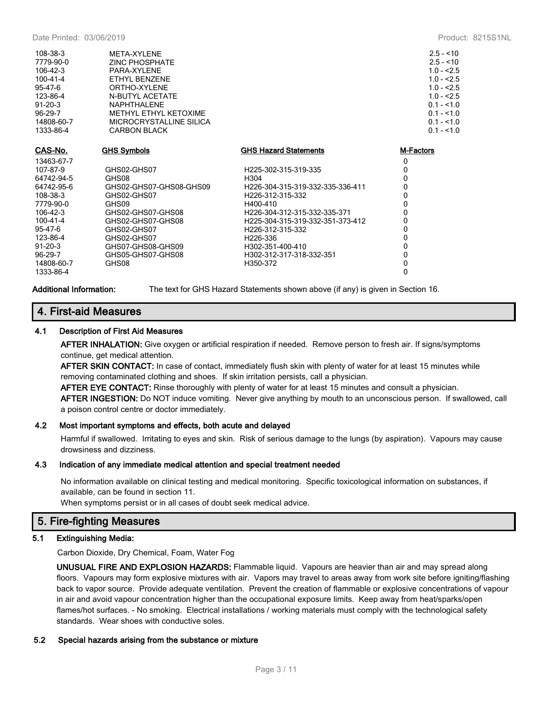| 108-38-3<br>7779-90-0<br>$106 - 42 - 3$<br>100-41-4<br>95-47-6<br>123-86-4<br>$91 - 20 - 3$<br>96-29-7<br>14808-60-7<br>1333-86-4 | META-XYLENE<br>ZINC PHOSPHATE<br>PARA-XYLENE<br>ETHYL BENZENE<br>ORTHO-XYI FNF<br>N-BUTYL ACETATE<br><b>NAPHTHALENE</b><br>METHYL ETHYL KETOXIME<br>MICROCRYSTALLINE SILICA<br><b>CARBON BLACK</b> |                                  | $2.5 - 10$<br>$2.5 - 10$<br>$1.0 - 2.5$<br>$1.0 - 2.5$<br>$1.0 - 2.5$<br>$1.0 - 2.5$<br>$0.1 - 1.0$<br>$0.1 - 1.0$<br>$0.1 - 1.0$<br>$0.1 - 1.0$ |
|-----------------------------------------------------------------------------------------------------------------------------------|----------------------------------------------------------------------------------------------------------------------------------------------------------------------------------------------------|----------------------------------|--------------------------------------------------------------------------------------------------------------------------------------------------|
| CAS-No.                                                                                                                           | <b>GHS Symbols</b>                                                                                                                                                                                 | <b>GHS Hazard Statements</b>     | M-Factors                                                                                                                                        |
| 13463-67-7                                                                                                                        |                                                                                                                                                                                                    |                                  | 0                                                                                                                                                |
| 107-87-9                                                                                                                          | GHS02-GHS07                                                                                                                                                                                        | H225-302-315-319-335             | 0                                                                                                                                                |
| 64742-94-5                                                                                                                        | GHS08                                                                                                                                                                                              | H <sub>304</sub>                 | $\Omega$                                                                                                                                         |
| 64742-95-6                                                                                                                        | GHS02-GHS07-GHS08-GHS09                                                                                                                                                                            | H226-304-315-319-332-335-336-411 | 0                                                                                                                                                |
| 108-38-3                                                                                                                          | GHS02-GHS07                                                                                                                                                                                        | H226-312-315-332                 | 0                                                                                                                                                |
| 7779-90-0                                                                                                                         | GHS09                                                                                                                                                                                              | H400-410                         | 0                                                                                                                                                |
| $106 - 42 - 3$                                                                                                                    | GHS02-GHS07-GHS08                                                                                                                                                                                  | H226-304-312-315-332-335-371     | 0                                                                                                                                                |
| 100-41-4                                                                                                                          | GHS02-GHS07-GHS08                                                                                                                                                                                  | H225-304-315-319-332-351-373-412 | 0                                                                                                                                                |
| 95-47-6                                                                                                                           | GHS02-GHS07                                                                                                                                                                                        | H226-312-315-332                 | 0                                                                                                                                                |
| 123-86-4                                                                                                                          | GHS02-GHS07                                                                                                                                                                                        | H226-336                         | 0                                                                                                                                                |
| $91 - 20 - 3$                                                                                                                     | GHS07-GHS08-GHS09                                                                                                                                                                                  | H302-351-400-410                 | 0                                                                                                                                                |
| 96-29-7                                                                                                                           | GHS05-GHS07-GHS08                                                                                                                                                                                  | H302-312-317-318-332-351         | 0                                                                                                                                                |
| 14808-60-7                                                                                                                        | GHS08                                                                                                                                                                                              | H350-372                         | 0                                                                                                                                                |
| 1333-86-4                                                                                                                         |                                                                                                                                                                                                    |                                  | 0                                                                                                                                                |

**Additional Information:** The text for GHS Hazard Statements shown above (if any) is given in Section 16.

## **4. First-aid Measures**

#### **4.1 Description of First Aid Measures**

**AFTER INHALATION:** Give oxygen or artificial respiration if needed. Remove person to fresh air. If signs/symptoms continue, get medical attention.

**AFTER SKIN CONTACT:** In case of contact, immediately flush skin with plenty of water for at least 15 minutes while removing contaminated clothing and shoes. If skin irritation persists, call a physician.

**AFTER EYE CONTACT:** Rinse thoroughly with plenty of water for at least 15 minutes and consult a physician. **AFTER INGESTION:** Do NOT induce vomiting. Never give anything by mouth to an unconscious person. If swallowed, call a poison control centre or doctor immediately.

## **4.2 Most important symptoms and effects, both acute and delayed**

Harmful if swallowed. Irritating to eyes and skin. Risk of serious damage to the lungs (by aspiration). Vapours may cause drowsiness and dizziness.

#### **4.3 Indication of any immediate medical attention and special treatment needed**

No information available on clinical testing and medical monitoring. Specific toxicological information on substances, if available, can be found in section 11.

When symptoms persist or in all cases of doubt seek medical advice.

## **5. Fire-fighting Measures**

## **5.1 Extinguishing Media:**

Carbon Dioxide, Dry Chemical, Foam, Water Fog

**UNUSUAL FIRE AND EXPLOSION HAZARDS:** Flammable liquid. Vapours are heavier than air and may spread along floors. Vapours may form explosive mixtures with air. Vapors may travel to areas away from work site before igniting/flashing back to vapor source. Provide adequate ventilation. Prevent the creation of flammable or explosive concentrations of vapour in air and avoid vapour concentration higher than the occupational exposure limits. Keep away from heat/sparks/open flames/hot surfaces. - No smoking. Electrical installations / working materials must comply with the technological safety standards. Wear shoes with conductive soles.

#### **5.2 Special hazards arising from the substance or mixture**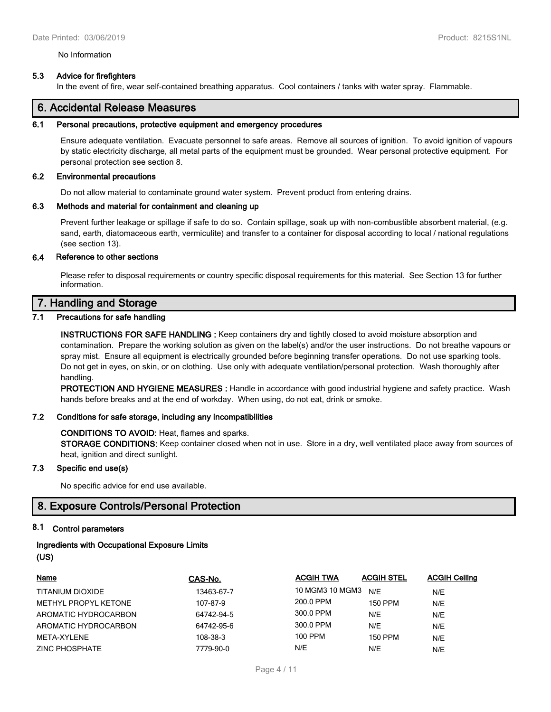#### No Information

#### **5.3 Advice for firefighters**

In the event of fire, wear self-contained breathing apparatus. Cool containers / tanks with water spray. Flammable.

## **6. Accidental Release Measures**

#### **6.1 Personal precautions, protective equipment and emergency procedures**

Ensure adequate ventilation. Evacuate personnel to safe areas. Remove all sources of ignition. To avoid ignition of vapours by static electricity discharge, all metal parts of the equipment must be grounded. Wear personal protective equipment. For personal protection see section 8.

#### **6.2 Environmental precautions**

Do not allow material to contaminate ground water system. Prevent product from entering drains.

#### **6.3 Methods and material for containment and cleaning up**

Prevent further leakage or spillage if safe to do so. Contain spillage, soak up with non-combustible absorbent material, (e.g. sand, earth, diatomaceous earth, vermiculite) and transfer to a container for disposal according to local / national regulations (see section 13).

#### **6.4 Reference to other sections**

Please refer to disposal requirements or country specific disposal requirements for this material. See Section 13 for further information.

## **7. Handling and Storage**

### **7.1 Precautions for safe handling**

**INSTRUCTIONS FOR SAFE HANDLING :** Keep containers dry and tightly closed to avoid moisture absorption and contamination. Prepare the working solution as given on the label(s) and/or the user instructions. Do not breathe vapours or spray mist. Ensure all equipment is electrically grounded before beginning transfer operations. Do not use sparking tools. Do not get in eyes, on skin, or on clothing. Use only with adequate ventilation/personal protection. Wash thoroughly after handling.

**PROTECTION AND HYGIENE MEASURES :** Handle in accordance with good industrial hygiene and safety practice. Wash hands before breaks and at the end of workday. When using, do not eat, drink or smoke.

#### **7.2 Conditions for safe storage, including any incompatibilities**

#### **CONDITIONS TO AVOID:** Heat, flames and sparks.

**STORAGE CONDITIONS:** Keep container closed when not in use. Store in a dry, well ventilated place away from sources of heat, ignition and direct sunlight.

#### **7.3 Specific end use(s)**

No specific advice for end use available.

## **8. Exposure Controls/Personal Protection**

#### **8.1 Control parameters**

### **Ingredients with Occupational Exposure Limits (US)**

| Name                 | CAS-No.    | <b>ACGIH TWA</b>    | <b>ACGIH STEL</b> | <b>ACGIH Ceiling</b> |
|----------------------|------------|---------------------|-------------------|----------------------|
| TITANIUM DIOXIDE     | 13463-67-7 | 10 MGM3 10 MGM3 N/F |                   | N/E                  |
| METHYL PROPYL KETONE | 107-87-9   | 200.0 PPM           | 150 PPM           | N/E                  |
| AROMATIC HYDROCARBON | 64742-94-5 | 300.0 PPM           | N/E               | N/E                  |
| AROMATIC HYDROCARBON | 64742-95-6 | 300.0 PPM           | N/E               | N/E                  |
| META-XYLENE          | 108-38-3   | 100 PPM             | 150 PPM           | N/E                  |
| ZINC PHOSPHATE       | 7779-90-0  | N/E                 | N/E               | N/E                  |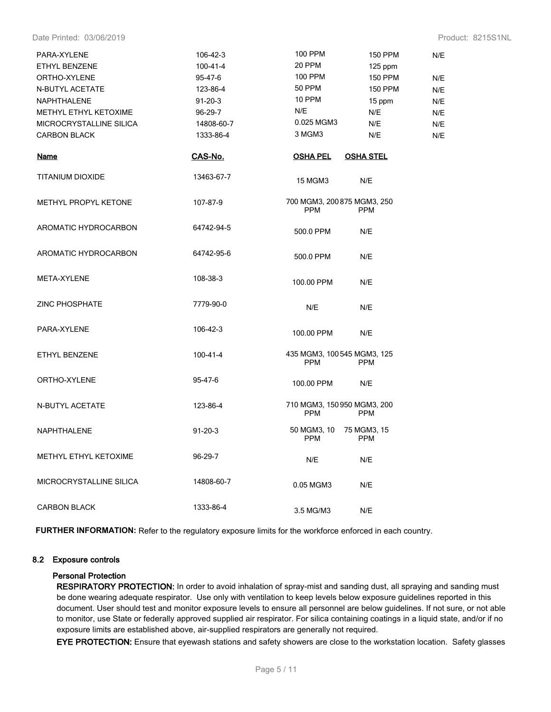Date Printed: 03/06/2019 Product: 8215S1NL

| PARA-XYLENE                  | 106-42-3      | 100 PPM                                   | <b>150 PPM</b>            | N/E |
|------------------------------|---------------|-------------------------------------------|---------------------------|-----|
| ETHYL BENZENE                | 100-41-4      | 20 PPM                                    | $125$ ppm                 |     |
| ORTHO-XYLENE                 | 95-47-6       | 100 PPM                                   | <b>150 PPM</b>            | N/E |
| N-BUTYL ACETATE              | 123-86-4      | <b>50 PPM</b>                             | <b>150 PPM</b>            | N/E |
| NAPHTHALENE                  | $91 - 20 - 3$ | 10 PPM                                    | 15 ppm                    | N/E |
| METHYL ETHYL KETOXIME        | 96-29-7       | N/E                                       | N/E                       | N/E |
| MICROCRYSTALLINE SILICA      | 14808-60-7    | 0.025 MGM3                                | N/E                       | N/E |
| <b>CARBON BLACK</b>          | 1333-86-4     | 3 MGM3                                    | N/E                       | N/E |
| <u>Name</u>                  | CAS-No.       | <u>OSHA PEL</u>                           | <u>OSHA STEL</u>          |     |
| <b>TITANIUM DIOXIDE</b>      | 13463-67-7    | <b>15 MGM3</b>                            | N/E                       |     |
| METHYL PROPYL KETONE         | 107-87-9      | 700 MGM3, 200 875 MGM3, 250<br><b>PPM</b> | <b>PPM</b>                |     |
| AROMATIC HYDROCARBON         | 64742-94-5    | 500.0 PPM                                 | N/E                       |     |
| AROMATIC HYDROCARBON         | 64742-95-6    | 500.0 PPM                                 | N/E                       |     |
| <b>META-XYLENE</b>           | 108-38-3      | 100.00 PPM                                | N/E                       |     |
| <b>ZINC PHOSPHATE</b>        | 7779-90-0     | N/E                                       | N/E                       |     |
| PARA-XYLENE                  | 106-42-3      | 100.00 PPM                                | N/E                       |     |
| ETHYL BENZENE                | 100-41-4      | 435 MGM3, 100 545 MGM3, 125<br><b>PPM</b> | <b>PPM</b>                |     |
| ORTHO-XYLENE                 | 95-47-6       | 100.00 PPM                                | N/E                       |     |
| N-BUTYL ACETATE              | 123-86-4      | 710 MGM3, 150 950 MGM3, 200<br><b>PPM</b> | <b>PPM</b>                |     |
| <b>NAPHTHALENE</b>           | $91 - 20 - 3$ | 50 MGM3, 10<br><b>PPM</b>                 | 75 MGM3, 15<br><b>PPM</b> |     |
| <b>METHYL ETHYL KETOXIME</b> | 96-29-7       | N/E                                       | N/E                       |     |
| MICROCRYSTALLINE SILICA      | 14808-60-7    | 0.05 MGM3                                 | N/E                       |     |
| <b>CARBON BLACK</b>          | 1333-86-4     | 3.5 MG/M3                                 | N/E                       |     |

**FURTHER INFORMATION:** Refer to the regulatory exposure limits for the workforce enforced in each country.

#### **8.2 Exposure controls**

#### **Personal Protection**

**RESPIRATORY PROTECTION:** In order to avoid inhalation of spray-mist and sanding dust, all spraying and sanding must be done wearing adequate respirator. Use only with ventilation to keep levels below exposure guidelines reported in this document. User should test and monitor exposure levels to ensure all personnel are below guidelines. If not sure, or not able to monitor, use State or federally approved supplied air respirator. For silica containing coatings in a liquid state, and/or if no exposure limits are established above, air-supplied respirators are generally not required.

**EYE PROTECTION:** Ensure that eyewash stations and safety showers are close to the workstation location. Safety glasses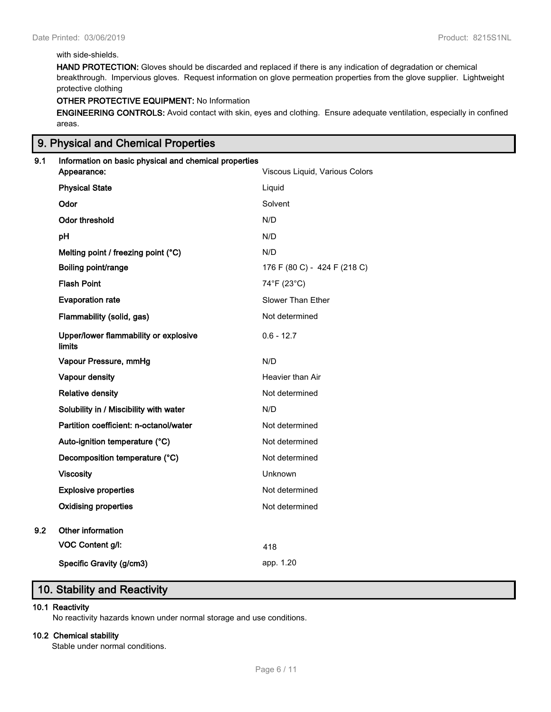## with side-shields.

**HAND PROTECTION:** Gloves should be discarded and replaced if there is any indication of degradation or chemical breakthrough. Impervious gloves. Request information on glove permeation properties from the glove supplier. Lightweight protective clothing

## **OTHER PROTECTIVE EQUIPMENT:** No Information

**ENGINEERING CONTROLS:** Avoid contact with skin, eyes and clothing. Ensure adequate ventilation, especially in confined areas.

## **9. Physical and Chemical Properties**

# **9.1 Information on basic physical and chemical properties Appearance:** Viscous Liquid, Various Colors **Physical State Liquid Physical State Odor** Solvent **Odor threshold** N/D **pH** N/D **Melting point / freezing point (°C)** N/D **Boiling point/range** 176 F (80 C) - 424 F (218 C) **Flash Point** 74°F (23°C) **Evaporation rate** Slower Than Ether **Flammability (solid, gas)** Not determined **Upper/lower flammability or explosive limits**  $0.6 - 12.7$ **Vapour Pressure, mmHg** N/D **Vapour density Heavier than Air Heavier than Air Relative density Not determined Not determined Solubility in / Miscibility with water** M/D **Partition coefficient: n-octanol/water** Not determined Auto-ignition temperature (°C) Not determined **Decomposition temperature (°C)** Not determined **Viscosity** Unknown **Explosive properties Not determined Oxidising properties** Not determined **9.2 Other information VOC Content g/l:** 418 **Specific Gravity (g/cm3) app. 1.20**

## **10. Stability and Reactivity**

#### **10.1 Reactivity**

No reactivity hazards known under normal storage and use conditions.

#### **10.2 Chemical stability**

Stable under normal conditions.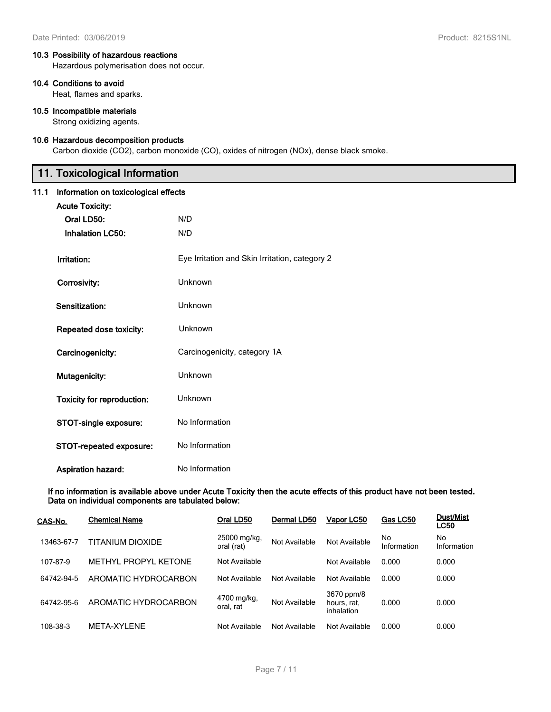## **10.3 Possibility of hazardous reactions**

Hazardous polymerisation does not occur.

#### **10.4 Conditions to avoid**

Heat, flames and sparks.

### **10.5 Incompatible materials**

Strong oxidizing agents.

#### **10.6 Hazardous decomposition products**

Carbon dioxide (CO2), carbon monoxide (CO), oxides of nitrogen (NOx), dense black smoke.

# **11. Toxicological Information**

### **11.1 Information on toxicological effects**

| <b>Acute Toxicity:</b>            |                                                |
|-----------------------------------|------------------------------------------------|
| Oral LD50:                        | N/D                                            |
| <b>Inhalation LC50:</b>           | N/D                                            |
|                                   |                                                |
| Irritation:                       | Eye Irritation and Skin Irritation, category 2 |
| Corrosivity:                      | Unknown                                        |
| Sensitization:                    | Unknown                                        |
| Repeated dose toxicity:           | Unknown                                        |
| Carcinogenicity:                  | Carcinogenicity, category 1A                   |
| Mutagenicity:                     | Unknown                                        |
| <b>Toxicity for reproduction:</b> | Unknown                                        |
| STOT-single exposure:             | No Information                                 |
| STOT-repeated exposure:           | No Information                                 |
| <b>Aspiration hazard:</b>         | No Information                                 |

**If no information is available above under Acute Toxicity then the acute effects of this product have not been tested. Data on individual components are tabulated below:**

| CAS-No.    | <b>Chemical Name</b> | Oral LD50                  | Dermal LD50   | Vapor LC50                              | Gas LC50          | <b>Dust/Mist</b><br><b>LC50</b> |
|------------|----------------------|----------------------------|---------------|-----------------------------------------|-------------------|---------------------------------|
| 13463-67-7 | TITANIUM DIOXIDE     | 25000 mg/kg,<br>oral (rat) | Not Available | Not Available                           | No<br>Information | No<br>Information               |
| 107-87-9   | METHYL PROPYL KETONE | Not Available              |               | Not Available                           | 0.000             | 0.000                           |
| 64742-94-5 | AROMATIC HYDROCARBON | Not Available              | Not Available | Not Available                           | 0.000             | 0.000                           |
| 64742-95-6 | AROMATIC HYDROCARBON | 4700 mg/kg,<br>oral. rat   | Not Available | 3670 ppm/8<br>hours, rat,<br>inhalation | 0.000             | 0.000                           |
| 108-38-3   | META-XYLENE          | Not Available              | Not Available | Not Available                           | 0.000             | 0.000                           |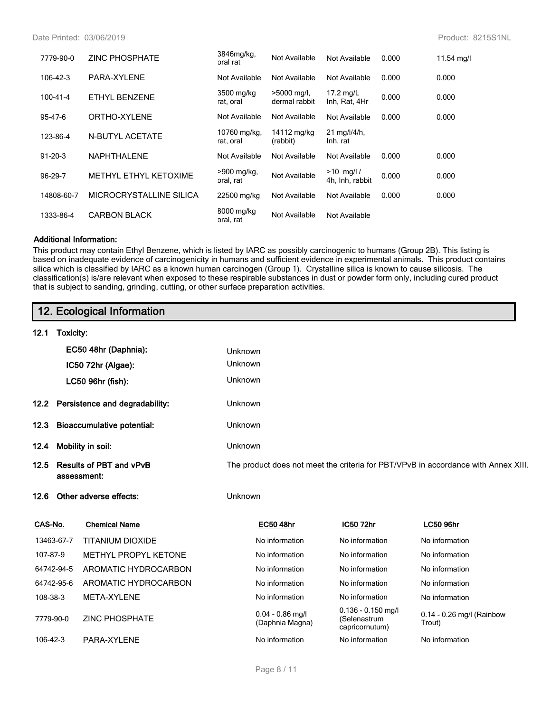| 7779-90-0     | <b>ZINC PHOSPHATE</b>   | 3846mg/kg,<br>oral rat    | Not Available                  | Not Available                              | 0.000 | 11.54 mg/l |
|---------------|-------------------------|---------------------------|--------------------------------|--------------------------------------------|-------|------------|
| 106-42-3      | PARA-XYLENE             | Not Available             | Not Available                  | Not Available                              | 0.000 | 0.000      |
| 100-41-4      | ETHYL BENZENE           | 3500 mg/kg<br>rat, oral   | $>5000$ mg/l,<br>dermal rabbit | 17.2 $mg/L$<br>Inh, Rat, 4Hr               | 0.000 | 0.000      |
| 95-47-6       | ORTHO-XYLENE            | Not Available             | Not Available                  | Not Available                              | 0.000 | 0.000      |
| 123-86-4      | <b>N-BUTYL ACETATE</b>  | 10760 mg/kg,<br>rat, oral | 14112 mg/kg<br>(rabbit)        | $21 \text{ mg}/\frac{1}{4}$ h,<br>Inh. rat |       |            |
| $91 - 20 - 3$ | <b>NAPHTHALENE</b>      | Not Available             | Not Available                  | Not Available                              | 0.000 | 0.000      |
| 96-29-7       | METHYL ETHYL KETOXIME   | >900 mg/kg,<br>oral, rat  | Not Available                  | $>10$ mg/l/<br>4h. Inh. rabbit             | 0.000 | 0.000      |
| 14808-60-7    | MICROCRYSTALLINE SILICA | 22500 mg/kg               | Not Available                  | Not Available                              | 0.000 | 0.000      |
| 1333-86-4     | <b>CARBON BLACK</b>     | 8000 mg/kg<br>oral, rat   | Not Available                  | Not Available                              |       |            |

#### **Additional Information:**

This product may contain Ethyl Benzene, which is listed by IARC as possibly carcinogenic to humans (Group 2B). This listing is based on inadequate evidence of carcinogenicity in humans and sufficient evidence in experimental animals. This product contains silica which is classified by IARC as a known human carcinogen (Group 1). Crystalline silica is known to cause silicosis. The classification(s) is/are relevant when exposed to these respirable substances in dust or powder form only, including cured product that is subject to sanding, grinding, cutting, or other surface preparation activities.

|                           |                                               | 12. Ecological Information          |         |                                                                                    |                                                        |                                     |  |  |
|---------------------------|-----------------------------------------------|-------------------------------------|---------|------------------------------------------------------------------------------------|--------------------------------------------------------|-------------------------------------|--|--|
| 12.1                      | Toxicity:                                     |                                     |         |                                                                                    |                                                        |                                     |  |  |
|                           |                                               | EC50 48hr (Daphnia):                | Unknown |                                                                                    |                                                        |                                     |  |  |
|                           |                                               | IC50 72hr (Algae):                  | Unknown |                                                                                    |                                                        |                                     |  |  |
|                           |                                               | LC50 96hr (fish):                   | Unknown |                                                                                    |                                                        |                                     |  |  |
|                           |                                               | 12.2 Persistence and degradability: | Unknown |                                                                                    |                                                        |                                     |  |  |
| 12.3                      |                                               | <b>Bioaccumulative potential:</b>   | Unknown |                                                                                    |                                                        |                                     |  |  |
| Mobility in soil:<br>12.4 |                                               |                                     |         | Unknown                                                                            |                                                        |                                     |  |  |
| 12.5                      | <b>Results of PBT and vPvB</b><br>assessment: |                                     |         | The product does not meet the criteria for PBT/VPvB in accordance with Annex XIII. |                                                        |                                     |  |  |
| 12.6                      | Other adverse effects:                        |                                     |         | Unknown                                                                            |                                                        |                                     |  |  |
| CAS-No.                   |                                               | <b>Chemical Name</b>                |         | <b>EC50 48hr</b>                                                                   | IC50 72hr                                              | <b>LC50 96hr</b>                    |  |  |
|                           | 13463-67-7                                    | <b>TITANIUM DIOXIDE</b>             |         | No information                                                                     | No information                                         | No information                      |  |  |
| 107-87-9                  |                                               | METHYL PROPYL KETONE                |         | No information                                                                     | No information                                         | No information                      |  |  |
|                           | 64742-94-5                                    | AROMATIC HYDROCARBON                |         | No information                                                                     | No information                                         | No information                      |  |  |
|                           | 64742-95-6                                    | AROMATIC HYDROCARBON                |         | No information                                                                     | No information                                         | No information                      |  |  |
| 108-38-3                  |                                               | META-XYLENE                         |         | No information                                                                     | No information                                         | No information                      |  |  |
|                           | 7779-90-0                                     | <b>ZINC PHOSPHATE</b>               |         | $0.04 - 0.86$ mg/l<br>(Daphnia Magna)                                              | $0.136 - 0.150$ mg/l<br>(Selenastrum<br>capricornutum) | 0.14 - 0.26 mg/l (Rainbow<br>Trout) |  |  |
| 106-42-3                  |                                               | PARA-XYLENE                         |         | No information                                                                     | No information                                         | No information                      |  |  |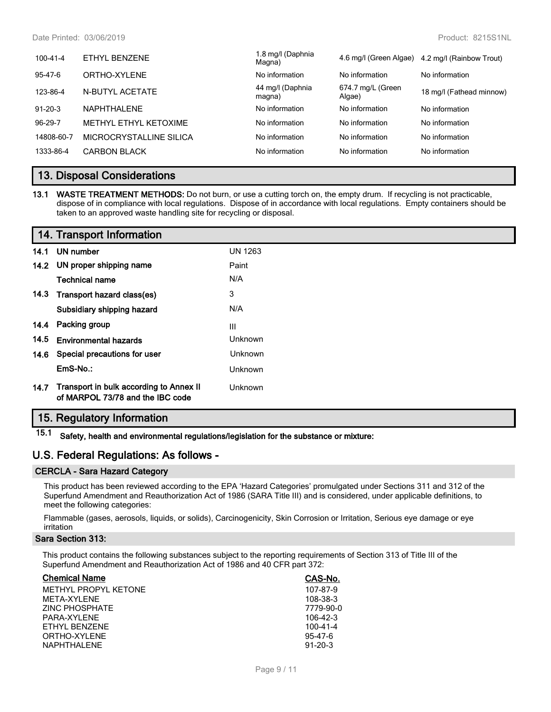| 100-41-4      | ETHYL BENZENE           | 1.8 mg/l (Daphnia<br>Magna) | 4.6 mg/l (Green Algae)      | 4.2 mg/l (Rainbow Trout) |
|---------------|-------------------------|-----------------------------|-----------------------------|--------------------------|
| 95-47-6       | ORTHO-XYLENE            | No information              | No information              | No information           |
| 123-86-4      | N-BUTYL ACETATE         | 44 mg/l (Daphnia<br>magna)  | 674.7 mg/L (Green<br>Algae) | 18 mg/l (Fathead minnow) |
| $91 - 20 - 3$ | NAPHTHAI FNF            | No information              | No information              | No information           |
| 96-29-7       | METHYL ETHYL KETOXIME   | No information              | No information              | No information           |
| 14808-60-7    | MICROCRYSTALLINE SILICA | No information              | No information              | No information           |
| 1333-86-4     | <b>CARBON BLACK</b>     | No information              | No information              | No information           |
|               |                         |                             |                             |                          |

## **13. Disposal Considerations**

**<sup>13.1</sup> WASTE TREATMENT METHODS:** Do not burn, or use a cutting torch on, the empty drum. If recycling is not practicable, dispose of in compliance with local regulations. Dispose of in accordance with local regulations. Empty containers should be taken to an approved waste handling site for recycling or disposal.

| 14. Transport Information |
|---------------------------|
| 141 UN supplies           |

| 14.1 | UN number                                                                   | <b>UN 1263</b> |
|------|-----------------------------------------------------------------------------|----------------|
|      | 14.2 UN proper shipping name                                                | Paint          |
|      | <b>Technical name</b>                                                       | N/A            |
| 14.3 | Transport hazard class(es)                                                  | 3              |
|      | Subsidiary shipping hazard                                                  | N/A            |
| 14.4 | Packing group                                                               | Ш              |
| 14.5 | <b>Environmental hazards</b>                                                | Unknown        |
| 14.6 | Special precautions for user                                                | Unknown        |
|      | $EmS-No.$ :                                                                 | Unknown        |
| 14.7 | Transport in bulk according to Annex II<br>of MARPOL 73/78 and the IBC code | Unknown        |

# **15. Regulatory Information**

**15.1 Safety, health and environmental regulations/legislation for the substance or mixture:**

## **U.S. Federal Regulations: As follows -**

#### **CERCLA - Sara Hazard Category**

This product has been reviewed according to the EPA 'Hazard Categories' promulgated under Sections 311 and 312 of the Superfund Amendment and Reauthorization Act of 1986 (SARA Title III) and is considered, under applicable definitions, to meet the following categories:

Flammable (gases, aerosols, liquids, or solids), Carcinogenicity, Skin Corrosion or Irritation, Serious eye damage or eye irritation

## **Sara Section 313:**

This product contains the following substances subject to the reporting requirements of Section 313 of Title III of the Superfund Amendment and Reauthorization Act of 1986 and 40 CFR part 372:

| <b>Chemical Name</b> | CAS-No.        |
|----------------------|----------------|
| METHYL PROPYL KETONE | 107-87-9       |
| MFTA-XYI FNF         | 108-38-3       |
| ZINC PHOSPHATE       | 7779-90-0      |
| PARA-XYI FNF         | 106-42-3       |
| FTHYL BENZENE        | $100 - 41 - 4$ |
| ORTHO-XYLENE         | $95 - 47 - 6$  |
| <b>NAPHTHALENE</b>   | $91 - 20 - 3$  |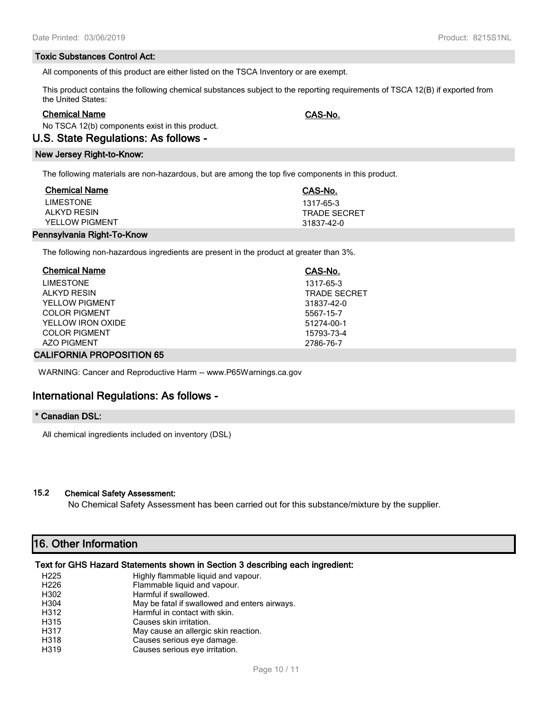#### **Toxic Substances Control Act:**

All components of this product are either listed on the TSCA Inventory or are exempt.

This product contains the following chemical substances subject to the reporting requirements of TSCA 12(B) if exported from the United States:

#### **Chemical Name CAS-No.**

No TSCA 12(b) components exist in this product.

#### **U.S. State Regulations: As follows -**

#### **New Jersey Right-to-Know:**

The following materials are non-hazardous, but are among the top five components in this product.

| <b>Chemical Name</b>  | CAS-No.             |
|-----------------------|---------------------|
| <b>LIMESTONE</b>      | 1317-65-3           |
| AI KYD RESIN          | <b>TRADE SECRET</b> |
| <b>YELLOW PIGMENT</b> | 31837-42-0          |
|                       |                     |

#### **Pennsylvania Right-To-Know**

The following non-hazardous ingredients are present in the product at greater than 3%.

| <b>Chemical Name</b>  | CAS-No.             |
|-----------------------|---------------------|
| <b>LIMESTONE</b>      | 1317-65-3           |
| <b>ALKYD RESIN</b>    | <b>TRADE SECRET</b> |
| <b>YELLOW PIGMENT</b> | 31837-42-0          |
| COLOR PIGMENT         | 5567-15-7           |
| YELLOW IRON OXIDE     | 51274-00-1          |
| <b>COLOR PIGMENT</b>  | 15793-73-4          |
| <b>AZO PIGMENT</b>    | 2786-76-7           |

#### **CALIFORNIA PROPOSITION 65**

WARNING: Cancer and Reproductive Harm -- www.P65Warnings.ca.gov

## **International Regulations: As follows -**

#### **\* Canadian DSL:**

All chemical ingredients included on inventory (DSL)

## **15.2 Chemical Safety Assessment:**

No Chemical Safety Assessment has been carried out for this substance/mixture by the supplier.

## **16. Other Information**

## **Text for GHS Hazard Statements shown in Section 3 describing each ingredient:**

| H <sub>225</sub> | Highly flammable liquid and vapour.           |
|------------------|-----------------------------------------------|
| H <sub>226</sub> | Flammable liquid and vapour.                  |
| H302             | Harmful if swallowed.                         |
| H304             | May be fatal if swallowed and enters airways. |
| H312             | Harmful in contact with skin.                 |
| H315             | Causes skin irritation.                       |
| H317             | May cause an allergic skin reaction.          |
| H318             | Causes serious eye damage.                    |
| H319             | Causes serious eye irritation.                |